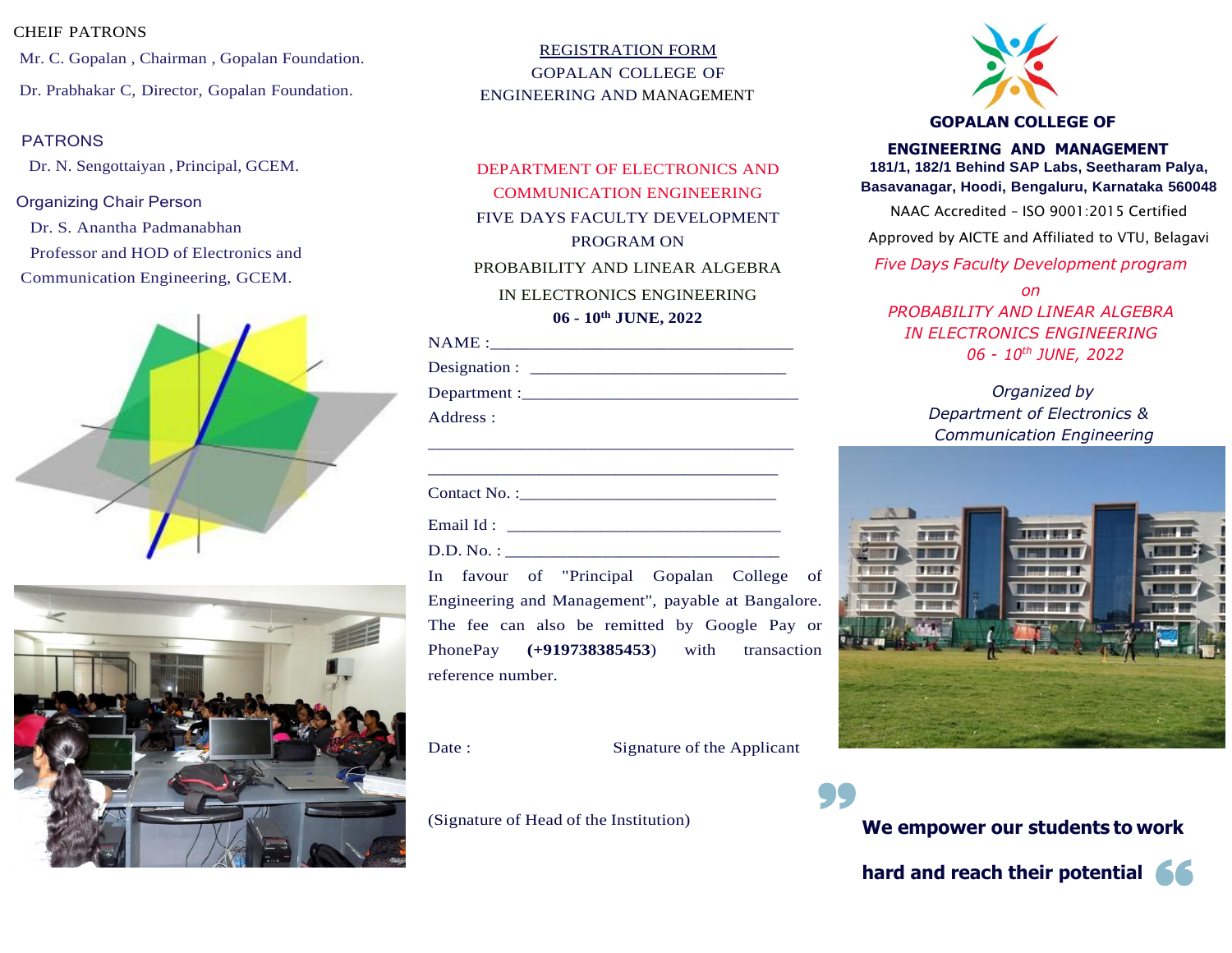#### CHEIF PATRONS

Mr. C. Gopalan , Chairman , Gopalan Foundation. Dr. Prabhakar C, Director, Gopalan Foundation.

Dr. N. Sengottaiyan , Principal, GCEM.

#### Organizing Chair Person

Dr. S. Anantha Padmanabhan Professor and HOD of Electronics and Communication Engineering, GCEM.





REGISTRATION FORM GOPALAN COLLEGE OF ENGINEERING AND MANAGEMENT

DEPARTMENT OF ELECTRONICS AND COMMUNICATION ENGINEERING FIVE DAYS FACULTY DEVELOPMENT PROGRAM ON PROBABILITY AND LINEAR ALGEBRA IN ELECTRONICS ENGINEERING **06 - 10th JUNE, 2022**

| NAME |  |  |  |
|------|--|--|--|
|      |  |  |  |

\_\_\_\_\_\_\_\_\_\_\_\_\_\_\_\_\_\_\_\_\_\_\_\_\_\_\_\_\_\_\_\_\_\_\_\_\_\_\_\_\_

Designation :

Department :

Address :

Contact No. :\_\_\_\_\_\_\_\_\_\_\_\_\_\_\_\_\_\_\_\_\_\_\_\_\_\_\_\_\_\_

Email Id : \_\_\_\_\_\_\_\_\_\_\_\_\_\_\_\_\_\_\_\_\_\_\_\_\_\_\_\_\_\_\_\_

D.D. No. :

In favour of "Principal Gopalan College of Engineering and Management", payable at Bangalore. The fee can also be remitted by Google Pay or PhonePay **(+919738385453**) with transaction reference number.

Date : Signature of the Applicant

(Signature of Head of the Institution)



## PATRONS **ENGINEERING AND MANAGEMENT 181/1, 182/1 Behind SAP Labs, Seetharam Palya, Basavanagar, Hoodi, Bengaluru, Karnataka 560048**

NAAC Accredited – ISO 9001:2015 Certified

Approved by AICTE and Affiliated to VTU, Belagavi

*Five Days Faculty Development program*

*on PROBABILITY AND LINEAR ALGEBRA IN ELECTRONICS ENGINEERING 06 - 10th JUNE, 2022*

> *Organized by Department of Electronics & Communication Engineering*



**We empower our students to work**

**hard and reach their potential**